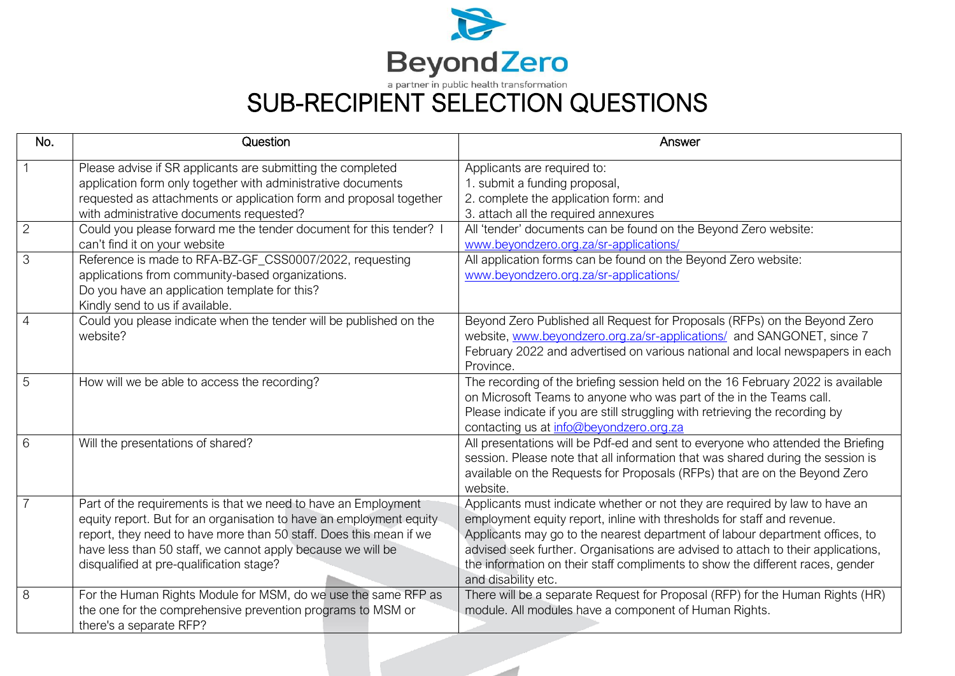

SUB-RECIPIENT SELECTION QUESTIONS

| No.            | Question                                                                                                                                                                                                                                                                                                               | Answer                                                                                                                                                                                                                                                                                                                                                                                                                              |
|----------------|------------------------------------------------------------------------------------------------------------------------------------------------------------------------------------------------------------------------------------------------------------------------------------------------------------------------|-------------------------------------------------------------------------------------------------------------------------------------------------------------------------------------------------------------------------------------------------------------------------------------------------------------------------------------------------------------------------------------------------------------------------------------|
|                | Please advise if SR applicants are submitting the completed<br>application form only together with administrative documents<br>requested as attachments or application form and proposal together<br>with administrative documents requested?                                                                          | Applicants are required to:<br>1. submit a funding proposal,<br>2. complete the application form: and<br>3. attach all the required annexures                                                                                                                                                                                                                                                                                       |
| 2              | Could you please forward me the tender document for this tender? I<br>can't find it on your website                                                                                                                                                                                                                    | All 'tender' documents can be found on the Beyond Zero website:<br>www.beyondzero.org.za/sr-applications/                                                                                                                                                                                                                                                                                                                           |
| 3              | Reference is made to RFA-BZ-GF_CSS0007/2022, requesting<br>applications from community-based organizations.<br>Do you have an application template for this?<br>Kindly send to us if available.                                                                                                                        | All application forms can be found on the Beyond Zero website:<br>www.beyondzero.org.za/sr-applications/                                                                                                                                                                                                                                                                                                                            |
| $\overline{4}$ | Could you please indicate when the tender will be published on the<br>website?                                                                                                                                                                                                                                         | Beyond Zero Published all Request for Proposals (RFPs) on the Beyond Zero<br>website, www.beyondzero.org.za/sr-applications/ and SANGONET, since 7<br>February 2022 and advertised on various national and local newspapers in each<br>Province.                                                                                                                                                                                    |
| 5              | How will we be able to access the recording?                                                                                                                                                                                                                                                                           | The recording of the briefing session held on the 16 February 2022 is available<br>on Microsoft Teams to anyone who was part of the in the Teams call.<br>Please indicate if you are still struggling with retrieving the recording by<br>contacting us at info@beyondzero.org.za                                                                                                                                                   |
| 6              | Will the presentations of shared?                                                                                                                                                                                                                                                                                      | All presentations will be Pdf-ed and sent to everyone who attended the Briefing<br>session. Please note that all information that was shared during the session is<br>available on the Requests for Proposals (RFPs) that are on the Beyond Zero<br>website.                                                                                                                                                                        |
| $\overline{7}$ | Part of the requirements is that we need to have an Employment<br>equity report. But for an organisation to have an employment equity<br>report, they need to have more than 50 staff. Does this mean if we<br>have less than 50 staff, we cannot apply because we will be<br>disqualified at pre-qualification stage? | Applicants must indicate whether or not they are required by law to have an<br>employment equity report, inline with thresholds for staff and revenue.<br>Applicants may go to the nearest department of labour department offices, to<br>advised seek further. Organisations are advised to attach to their applications,<br>the information on their staff compliments to show the different races, gender<br>and disability etc. |
| 8              | For the Human Rights Module for MSM, do we use the same RFP as<br>the one for the comprehensive prevention programs to MSM or<br>there's a separate RFP?                                                                                                                                                               | There will be a separate Request for Proposal (RFP) for the Human Rights (HR)<br>module. All modules have a component of Human Rights.                                                                                                                                                                                                                                                                                              |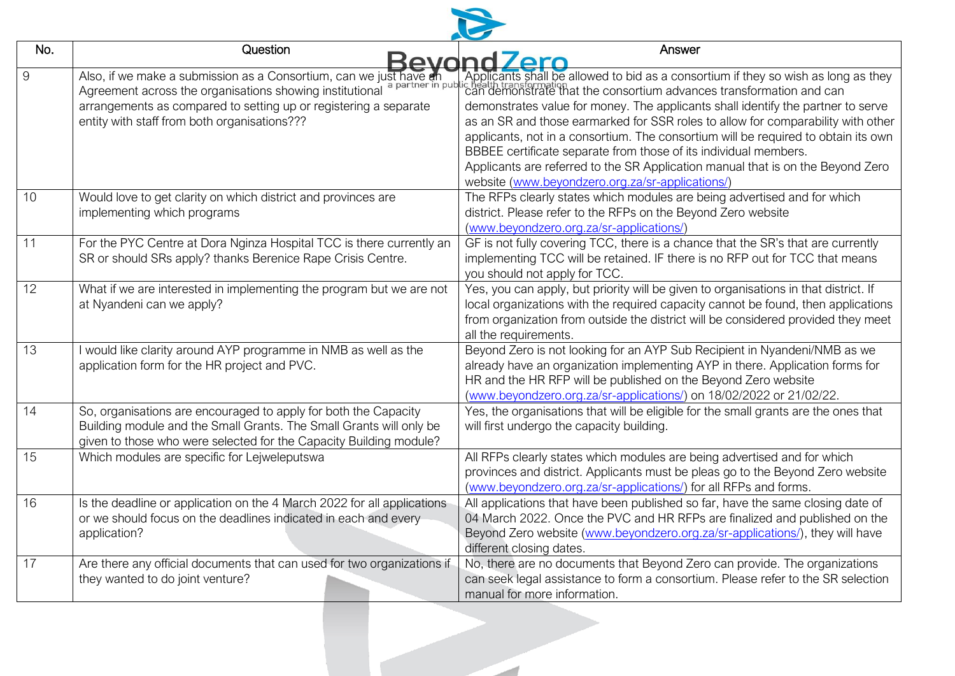| No. | Question<br>Kevond                                                                                                                                                                                                                                 | Answer<br><b>7ero</b>                                                                                                                                                                                                                                                                                                                                                                                                                                                                                                                                                                                                                                         |
|-----|----------------------------------------------------------------------------------------------------------------------------------------------------------------------------------------------------------------------------------------------------|---------------------------------------------------------------------------------------------------------------------------------------------------------------------------------------------------------------------------------------------------------------------------------------------------------------------------------------------------------------------------------------------------------------------------------------------------------------------------------------------------------------------------------------------------------------------------------------------------------------------------------------------------------------|
| 9   | Also, if we make a submission as a Consortium, can we just have an<br>Agreement across the organisations showing institutional<br>arrangements as compared to setting up or registering a separate<br>entity with staff from both organisations??? | Applicants shall be allowed to bid as a consortium if they so wish as long as they<br>c health transformation<br>can demonstrate that the consortium advances transformation and can<br>demonstrates value for money. The applicants shall identify the partner to serve<br>as an SR and those earmarked for SSR roles to allow for comparability with other<br>applicants, not in a consortium. The consortium will be required to obtain its own<br>BBBEE certificate separate from those of its individual members.<br>Applicants are referred to the SR Application manual that is on the Beyond Zero<br>website (www.beyondzero.org.za/sr-applications/) |
| 10  | Would love to get clarity on which district and provinces are<br>implementing which programs                                                                                                                                                       | The RFPs clearly states which modules are being advertised and for which<br>district. Please refer to the RFPs on the Beyond Zero website<br>(www.beyondzero.org.za/sr-applications/)                                                                                                                                                                                                                                                                                                                                                                                                                                                                         |
| 11  | For the PYC Centre at Dora Nginza Hospital TCC is there currently an<br>SR or should SRs apply? thanks Berenice Rape Crisis Centre.                                                                                                                | GF is not fully covering TCC, there is a chance that the SR's that are currently<br>implementing TCC will be retained. IF there is no RFP out for TCC that means<br>you should not apply for TCC.                                                                                                                                                                                                                                                                                                                                                                                                                                                             |
| 12  | What if we are interested in implementing the program but we are not<br>at Nyandeni can we apply?                                                                                                                                                  | Yes, you can apply, but priority will be given to organisations in that district. If<br>local organizations with the required capacity cannot be found, then applications<br>from organization from outside the district will be considered provided they meet<br>all the requirements.                                                                                                                                                                                                                                                                                                                                                                       |
| 13  | I would like clarity around AYP programme in NMB as well as the<br>application form for the HR project and PVC.                                                                                                                                    | Beyond Zero is not looking for an AYP Sub Recipient in Nyandeni/NMB as we<br>already have an organization implementing AYP in there. Application forms for<br>HR and the HR RFP will be published on the Beyond Zero website<br>(www.beyondzero.org.za/sr-applications/) on 18/02/2022 or 21/02/22.                                                                                                                                                                                                                                                                                                                                                           |
| 14  | So, organisations are encouraged to apply for both the Capacity<br>Building module and the Small Grants. The Small Grants will only be<br>given to those who were selected for the Capacity Building module?                                       | Yes, the organisations that will be eligible for the small grants are the ones that<br>will first undergo the capacity building.                                                                                                                                                                                                                                                                                                                                                                                                                                                                                                                              |
| 15  | Which modules are specific for Lejweleputswa                                                                                                                                                                                                       | All RFPs clearly states which modules are being advertised and for which<br>provinces and district. Applicants must be pleas go to the Beyond Zero website<br>(www.beyondzero.org.za/sr-applications/) for all RFPs and forms.                                                                                                                                                                                                                                                                                                                                                                                                                                |
| 16  | Is the deadline or application on the 4 March 2022 for all applications<br>or we should focus on the deadlines indicated in each and every<br>application?                                                                                         | All applications that have been published so far, have the same closing date of<br>04 March 2022. Once the PVC and HR RFPs are finalized and published on the<br>Beyond Zero website (www.beyondzero.org.za/sr-applications/), they will have<br>different closing dates.                                                                                                                                                                                                                                                                                                                                                                                     |
| 17  | Are there any official documents that can used for two organizations if<br>they wanted to do joint venture?                                                                                                                                        | No, there are no documents that Beyond Zero can provide. The organizations<br>can seek legal assistance to form a consortium. Please refer to the SR selection<br>manual for more information.                                                                                                                                                                                                                                                                                                                                                                                                                                                                |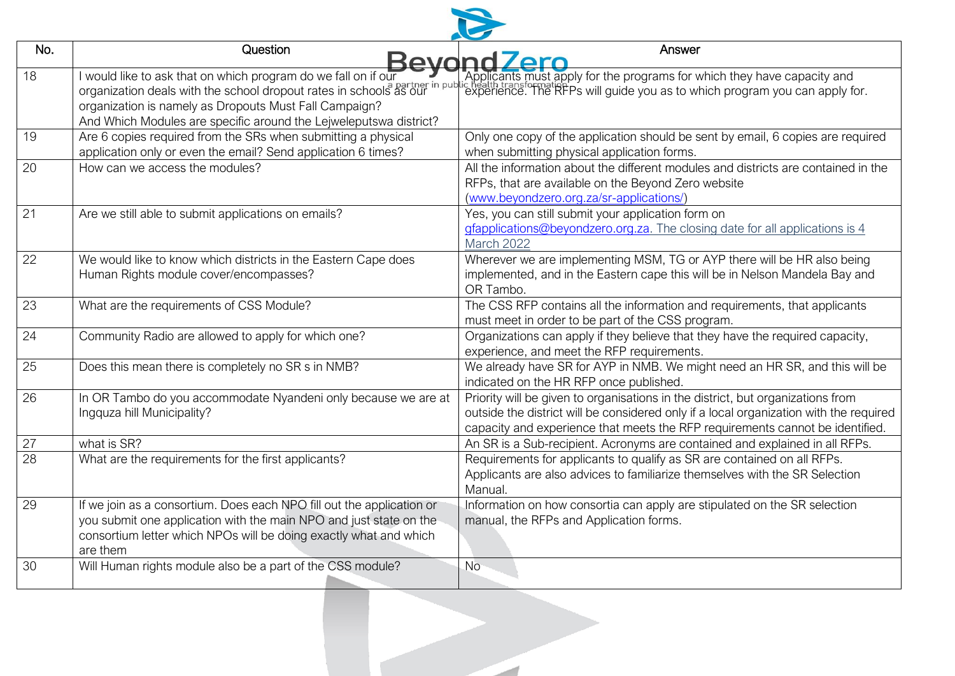

| No.             | Question                                                                                                                                                                                                                                                            | Answer<br>Bevond Zero                                                                                                                                                                                                                                      |
|-----------------|---------------------------------------------------------------------------------------------------------------------------------------------------------------------------------------------------------------------------------------------------------------------|------------------------------------------------------------------------------------------------------------------------------------------------------------------------------------------------------------------------------------------------------------|
| 18              | I would like to ask that on which program do we fall on if our<br>organization deals with the school dropout rates in schools as our<br>organization is namely as Dropouts Must Fall Campaign?<br>And Which Modules are specific around the Lejweleputswa district? | Applicants must apply for the programs for which they have capacity and<br>c neath transformation.<br>experience. The RFPs will guide you as to which program you can apply for.                                                                           |
| 19              | Are 6 copies required from the SRs when submitting a physical<br>application only or even the email? Send application 6 times?                                                                                                                                      | Only one copy of the application should be sent by email, 6 copies are required<br>when submitting physical application forms.                                                                                                                             |
| 20              | How can we access the modules?                                                                                                                                                                                                                                      | All the information about the different modules and districts are contained in the<br>RFPs, that are available on the Beyond Zero website<br>(www.beyondzero.org.za/sr-applications/)                                                                      |
| 21              | Are we still able to submit applications on emails?                                                                                                                                                                                                                 | Yes, you can still submit your application form on<br>gfapplications@beyondzero.org.za. The closing date for all applications is 4<br>March 2022                                                                                                           |
| 22              | We would like to know which districts in the Eastern Cape does<br>Human Rights module cover/encompasses?                                                                                                                                                            | Wherever we are implementing MSM, TG or AYP there will be HR also being<br>implemented, and in the Eastern cape this will be in Nelson Mandela Bay and<br>OR Tambo.                                                                                        |
| 23              | What are the requirements of CSS Module?                                                                                                                                                                                                                            | The CSS RFP contains all the information and requirements, that applicants<br>must meet in order to be part of the CSS program.                                                                                                                            |
| 24              | Community Radio are allowed to apply for which one?                                                                                                                                                                                                                 | Organizations can apply if they believe that they have the required capacity,<br>experience, and meet the RFP requirements.                                                                                                                                |
| 25              | Does this mean there is completely no SR s in NMB?                                                                                                                                                                                                                  | We already have SR for AYP in NMB. We might need an HR SR, and this will be<br>indicated on the HR RFP once published.                                                                                                                                     |
| 26              | In OR Tambo do you accommodate Nyandeni only because we are at<br>Ingquza hill Municipality?                                                                                                                                                                        | Priority will be given to organisations in the district, but organizations from<br>outside the district will be considered only if a local organization with the required<br>capacity and experience that meets the RFP requirements cannot be identified. |
| $\overline{27}$ | what is SR?                                                                                                                                                                                                                                                         | An SR is a Sub-recipient. Acronyms are contained and explained in all RFPs.                                                                                                                                                                                |
| $\overline{28}$ | What are the requirements for the first applicants?                                                                                                                                                                                                                 | Requirements for applicants to qualify as SR are contained on all RFPs.<br>Applicants are also advices to familiarize themselves with the SR Selection<br>Manual.                                                                                          |
| 29              | If we join as a consortium. Does each NPO fill out the application or<br>you submit one application with the main NPO and just state on the<br>consortium letter which NPOs will be doing exactly what and which<br>are them                                        | Information on how consortia can apply are stipulated on the SR selection<br>manual, the RFPs and Application forms.                                                                                                                                       |
| 30              | Will Human rights module also be a part of the CSS module?                                                                                                                                                                                                          | <b>No</b>                                                                                                                                                                                                                                                  |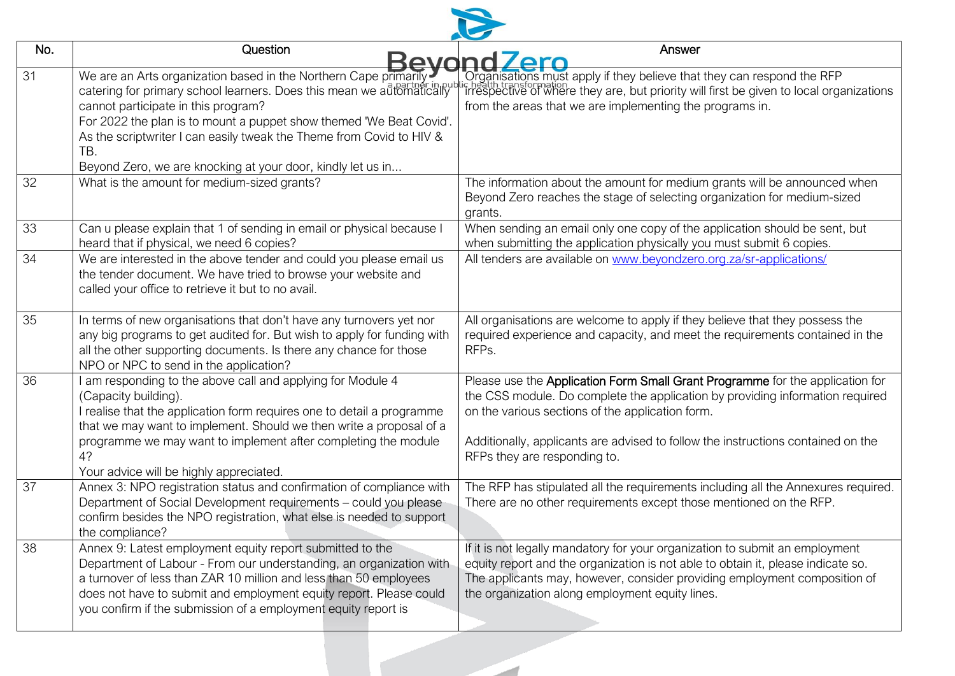| No. | Question<br>Kevond                                                                                                                                                                                                                                                                                                                                                                                    | Answer<br>err                                                                                                                                                                                                                                                                                                                          |
|-----|-------------------------------------------------------------------------------------------------------------------------------------------------------------------------------------------------------------------------------------------------------------------------------------------------------------------------------------------------------------------------------------------------------|----------------------------------------------------------------------------------------------------------------------------------------------------------------------------------------------------------------------------------------------------------------------------------------------------------------------------------------|
| 31  | We are an Arts organization based in the Northern Cape primarily<br>catering for primary school learners. Does this mean we automatically<br>cannot participate in this program?<br>For 2022 the plan is to mount a puppet show themed 'We Beat Covid'.<br>As the scriptwriter I can easily tweak the Theme from Covid to HIV &<br>TB.<br>Beyond Zero, we are knocking at your door, kindly let us in | Organisations must apply if they believe that they can respond the RFP<br>chealth transformation<br>Irrespective of where they are, but priority will first be given to local organizations<br>from the areas that we are implementing the programs in.                                                                                |
| 32  | What is the amount for medium-sized grants?                                                                                                                                                                                                                                                                                                                                                           | The information about the amount for medium grants will be announced when<br>Beyond Zero reaches the stage of selecting organization for medium-sized<br>grants.                                                                                                                                                                       |
| 33  | Can u please explain that 1 of sending in email or physical because I<br>heard that if physical, we need 6 copies?                                                                                                                                                                                                                                                                                    | When sending an email only one copy of the application should be sent, but<br>when submitting the application physically you must submit 6 copies.                                                                                                                                                                                     |
| 34  | We are interested in the above tender and could you please email us<br>the tender document. We have tried to browse your website and<br>called your office to retrieve it but to no avail.                                                                                                                                                                                                            | All tenders are available on www.beyondzero.org.za/sr-applications/                                                                                                                                                                                                                                                                    |
| 35  | In terms of new organisations that don't have any turnovers yet nor<br>any big programs to get audited for. But wish to apply for funding with<br>all the other supporting documents. Is there any chance for those<br>NPO or NPC to send in the application?                                                                                                                                         | All organisations are welcome to apply if they believe that they possess the<br>required experience and capacity, and meet the requirements contained in the<br>RFPs.                                                                                                                                                                  |
| 36  | I am responding to the above call and applying for Module 4<br>(Capacity building).<br>I realise that the application form requires one to detail a programme<br>that we may want to implement. Should we then write a proposal of a<br>programme we may want to implement after completing the module<br>4?<br>Your advice will be highly appreciated.                                               | Please use the Application Form Small Grant Programme for the application for<br>the CSS module. Do complete the application by providing information required<br>on the various sections of the application form.<br>Additionally, applicants are advised to follow the instructions contained on the<br>RFPs they are responding to. |
| 37  | Annex 3: NPO registration status and confirmation of compliance with<br>Department of Social Development requirements - could you please<br>confirm besides the NPO registration, what else is needed to support<br>the compliance?                                                                                                                                                                   | The RFP has stipulated all the requirements including all the Annexures required.<br>There are no other requirements except those mentioned on the RFP.                                                                                                                                                                                |
| 38  | Annex 9: Latest employment equity report submitted to the<br>Department of Labour - From our understanding, an organization with<br>a turnover of less than ZAR 10 million and less than 50 employees<br>does not have to submit and employment equity report. Please could<br>you confirm if the submission of a employment equity report is                                                         | If it is not legally mandatory for your organization to submit an employment<br>equity report and the organization is not able to obtain it, please indicate so.<br>The applicants may, however, consider providing employment composition of<br>the organization along employment equity lines.                                       |